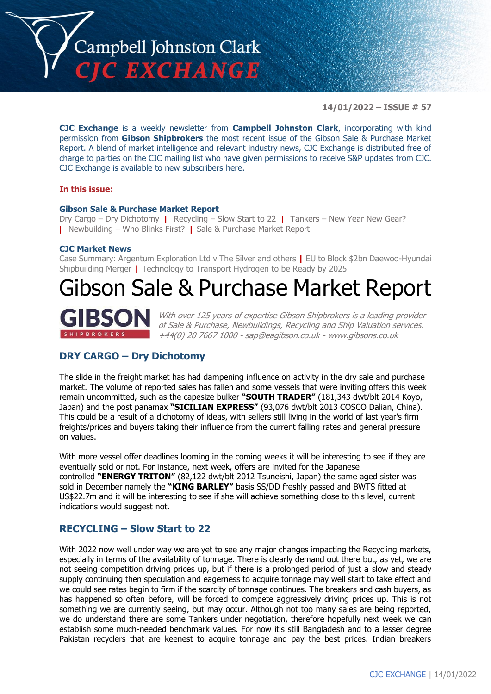

**14/01/2022 – ISSUE # 57**

**CJC Exchange** is a weekly newsletter from **Campbell Johnston Clark**, incorporating with kind permission from **Gibson Shipbrokers** the most recent issue of the Gibson Sale & Purchase Market Report. A blend of market intelligence and relevant industry news, CJC Exchange is distributed free of charge to parties on the CJC mailing list who have given permissions to receive S&P updates from CJC. CJC Exchange is available to new subscribers [here.](mailto:jamesc@cjclaw.com?subject=CJC%20Exchange%20sign-up)

#### **In this issue:**

#### **Gibson Sale & Purchase Market Report**

Dry Cargo – Dry Dichotomy **|** Recycling – Slow Start to 22 **|** Tankers – New Year New Gear? **|** Newbuilding – Who Blinks First? **|** Sale & Purchase Market Report

#### **CJC Market News**

Case Summary: Argentum Exploration Ltd v The Silver and others **|** EU to Block \$2bn Daewoo-Hyundai Shipbuilding Merger **|** Technology to Transport Hydrogen to be Ready by 2025

# Gibson Sale & Purchase Market Report



With over 125 years of expertise Gibson Shipbrokers is a leading provider of Sale & Purchase, Newbuildings, Recycling and Ship Valuation services. +44(0) 20 7667 1000 - [sap@eagibson.co.uk](mailto:sap@eagibson.co.uk) - [www.gibsons.co.uk](https://protect-eu.mimecast.com/s/VO6nCGZzRS60KqcK1jQh/)

# **DRY CARGO – Dry Dichotomy**

The slide in the freight market has had dampening influence on activity in the dry sale and purchase market. The volume of reported sales has fallen and some vessels that were inviting offers this week remain uncommitted, such as the capesize bulker **"SOUTH TRADER"** (181,343 dwt/blt 2014 Koyo, Japan) and the post panamax **"SICILIAN EXPRESS"** (93,076 dwt/blt 2013 COSCO Dalian, China). This could be a result of a dichotomy of ideas, with sellers still living in the world of last year's firm freights/prices and buyers taking their influence from the current falling rates and general pressure on values.

With more vessel offer deadlines looming in the coming weeks it will be interesting to see if they are eventually sold or not. For instance, next week, offers are invited for the Japanese controlled **"ENERGY TRITON"** (82,122 dwt/blt 2012 Tsuneishi, Japan) the same aged sister was sold in December namely the **"KING BARLEY"** basis SS/DD freshly passed and BWTS fitted at US\$22.7m and it will be interesting to see if she will achieve something close to this level, current indications would suggest not.

### **RECYCLING – Slow Start to 22**

With 2022 now well under way we are yet to see any major changes impacting the Recycling markets, especially in terms of the availability of tonnage. There is clearly demand out there but, as yet, we are not seeing competition driving prices up, but if there is a prolonged period of just a slow and steady supply continuing then speculation and eagerness to acquire tonnage may well start to take effect and we could see rates begin to firm if the scarcity of tonnage continues. The breakers and cash buyers, as has happened so often before, will be forced to compete aggressively driving prices up. This is not something we are currently seeing, but may occur. Although not too many sales are being reported, we do understand there are some Tankers under negotiation, therefore hopefully next week we can establish some much-needed benchmark values. For now it's still Bangladesh and to a lesser degree Pakistan recyclers that are keenest to acquire tonnage and pay the best prices. Indian breakers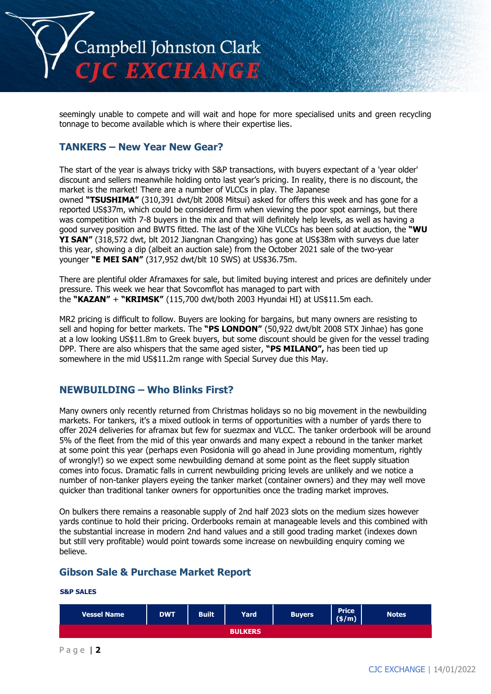

seemingly unable to compete and will wait and hope for more specialised units and green recycling tonnage to become available which is where their expertise lies.

### **TANKERS – New Year New Gear?**

The start of the year is always tricky with S&P transactions, with buyers expectant of a 'year older' discount and sellers meanwhile holding onto last year's pricing. In reality, there is no discount, the market is the market! There are a number of VLCCs in play. The Japanese owned **"TSUSHIMA"** (310,391 dwt/blt 2008 Mitsui) asked for offers this week and has gone for a reported US\$37m, which could be considered firm when viewing the poor spot earnings, but there was competition with 7-8 buyers in the mix and that will definitely help levels, as well as having a good survey position and BWTS fitted. The last of the Xihe VLCCs has been sold at auction, the **"WU YI SAN"** (318,572 dwt, blt 2012 Jiangnan Changxing) has gone at US\$38m with surveys due later this year, showing a dip (albeit an auction sale) from the October 2021 sale of the two-year younger **"E MEI SAN"** (317,952 dwt/blt 10 SWS) at US\$36.75m.

There are plentiful older Aframaxes for sale, but limited buying interest and prices are definitely under pressure. This week we hear that Sovcomflot has managed to part with the **"KAZAN"** + **"KRIMSK"** (115,700 dwt/both 2003 Hyundai HI) at US\$11.5m each.

MR2 pricing is difficult to follow. Buyers are looking for bargains, but many owners are resisting to sell and hoping for better markets. The **"PS LONDON"** (50,922 dwt/blt 2008 STX Jinhae) has gone at a low looking US\$11.8m to Greek buyers, but some discount should be given for the vessel trading DPP. There are also whispers that the same aged sister, **"PS MILANO",** has been tied up somewhere in the mid US\$11.2m range with Special Survey due this May.

# **NEWBUILDING – Who Blinks First?**

Many owners only recently returned from Christmas holidays so no big movement in the newbuilding markets. For tankers, it's a mixed outlook in terms of opportunities with a number of yards there to offer 2024 deliveries for aframax but few for suezmax and VLCC. The tanker orderbook will be around 5% of the fleet from the mid of this year onwards and many expect a rebound in the tanker market at some point this year (perhaps even Posidonia will go ahead in June providing momentum, rightly of wrongly!) so we expect some newbuilding demand at some point as the fleet supply situation comes into focus. Dramatic falls in current newbuilding pricing levels are unlikely and we notice a number of non-tanker players eyeing the tanker market (container owners) and they may well move quicker than traditional tanker owners for opportunities once the trading market improves.

On bulkers there remains a reasonable supply of 2nd half 2023 slots on the medium sizes however yards continue to hold their pricing. Orderbooks remain at manageable levels and this combined with the substantial increase in modern 2nd hand values and a still good trading market (indexes down but still very profitable) would point towards some increase on newbuilding enquiry coming we believe.

# **Gibson Sale & Purchase Market Report**

#### **S&P SALES**

| <b>Vessel Name</b> | <b>DWT</b> | <b>Built</b> | Yard | <b>Buyers</b> | <b>Price</b><br>(s/m) | <b>Notes</b> |  |
|--------------------|------------|--------------|------|---------------|-----------------------|--------------|--|
| <b>BULKERS</b>     |            |              |      |               |                       |              |  |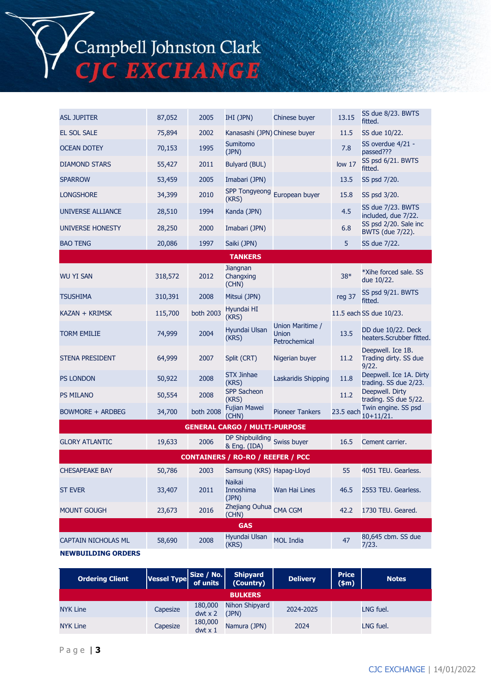Campbell Johnston Clark<br>CJC EXCHANGE

| <b>ASL JUPITER</b>                       | 87,052  | 2005      | IHI (JPN)                                   | Chinese buyer                                     | 13.15             | SS due 8/23. BWTS<br>fitted.                        |  |
|------------------------------------------|---------|-----------|---------------------------------------------|---------------------------------------------------|-------------------|-----------------------------------------------------|--|
| EL SOL SALE                              | 75,894  | 2002      | Kanasashi (JPN) Chinese buyer               |                                                   | 11.5              | SS due 10/22.                                       |  |
| <b>OCEAN DOTEY</b>                       | 70,153  | 1995      | Sumitomo<br>(JPN)                           |                                                   | 7.8               | SS overdue 4/21 -<br>passed???                      |  |
| <b>DIAMOND STARS</b>                     | 55,427  | 2011      | <b>Bulyard (BUL)</b>                        |                                                   | low <sub>17</sub> | SS psd 6/21. BWTS<br>fitted.                        |  |
| <b>SPARROW</b>                           | 53,459  | 2005      | Imabari (JPN)                               |                                                   | 13.5              | SS psd 7/20.                                        |  |
| <b>LONGSHORE</b>                         | 34,399  | 2010      | (KRS)                                       | SPP Tongyeong European buyer                      | 15.8              | SS psd 3/20.                                        |  |
| <b>UNIVERSE ALLIANCE</b>                 | 28,510  | 1994      | Kanda (JPN)                                 |                                                   | 4.5               | SS due 7/23. BWTS<br>included, due 7/22.            |  |
| <b>UNIVERSE HONESTY</b>                  | 28,250  | 2000      | Imabari (JPN)                               |                                                   | 6.8               | SS psd 2/20. Sale inc<br>BWTS (due 7/22).           |  |
| <b>BAO TENG</b>                          | 20,086  | 1997      | Saiki (JPN)                                 |                                                   | 5                 | SS due 7/22.                                        |  |
|                                          |         |           | <b>TANKERS</b>                              |                                                   |                   |                                                     |  |
| <b>WU YI SAN</b>                         | 318,572 | 2012      | Jiangnan<br>Changxing<br>(CHN)              |                                                   | $38*$             | *Xihe forced sale, SS<br>due 10/22.                 |  |
| <b>TSUSHIMA</b>                          | 310,391 | 2008      | Mitsui (JPN)                                |                                                   | reg 37            | SS psd 9/21. BWTS<br>fitted.                        |  |
| KAZAN + KRIMSK                           | 115,700 | both 2003 | Hyundai HI<br>(KRS)                         |                                                   |                   | 11.5 each SS due 10/23.                             |  |
| <b>TORM EMILIE</b>                       | 74,999  | 2004      | Hyundai Ulsan<br>(KRS)                      | Union Maritime /<br><b>Union</b><br>Petrochemical | 13.5              | DD due 10/22. Deck<br>heaters.Scrubber fitted.      |  |
| <b>STENA PRESIDENT</b>                   | 64,999  | 2007      | Split (CRT)                                 | Nigerian buyer                                    | 11.2              | Deepwell. Ice 1B.<br>Trading dirty. SS due<br>9/22. |  |
| <b>PS LONDON</b>                         | 50,922  | 2008      | <b>STX Jinhae</b><br>(KRS)                  | Laskaridis Shipping                               | 11.8              | Deepwell. Ice 1A. Dirty<br>trading. SS due 2/23.    |  |
| <b>PS MILANO</b>                         | 50,554  | 2008      | <b>SPP Sacheon</b><br>(KRS)                 |                                                   | 11.2              | Deepwell. Dirty<br>trading. SS due 5/22.            |  |
| BOWMORE + ARDBEG                         | 34,700  | both 2008 | Fujian Mawei<br>(CHN)                       | <b>Pioneer Tankers</b>                            | 23.5 each         | Twin engine. SS psd<br>$10+11/21.$                  |  |
|                                          |         |           | <b>GENERAL CARGO / MULTI-PURPOSE</b>        |                                                   |                   |                                                     |  |
| <b>GLORY ATLANTIC</b>                    | 19,633  | 2006      | DP Shipbuilding Swiss buyer<br>& Eng. (IDA) |                                                   | 16.5              | Cement carrier.                                     |  |
| <b>CONTAINERS / RO-RO / REEFER / PCC</b> |         |           |                                             |                                                   |                   |                                                     |  |
| <b>CHESAPEAKE BAY</b>                    | 50,786  | 2003      | Samsung (KRS) Hapag-Lloyd                   |                                                   | 55                | 4051 TEU. Gearless.                                 |  |
| <b>ST EVER</b>                           | 33,407  | 2011      | <b>Naikai</b><br>Innoshima<br>(JPN)         | Wan Hai Lines                                     | 46.5              | 2553 TEU. Gearless.                                 |  |
| <b>MOUNT GOUGH</b>                       | 23,673  | 2016      | Zhejiang Ouhua CMA CGM<br>(CHN)             |                                                   | 42.2              | 1730 TEU. Geared.                                   |  |
| <b>GAS</b>                               |         |           |                                             |                                                   |                   |                                                     |  |
| <b>CAPTAIN NICHOLAS ML</b>               | 58,690  | 2008      | Hyundai Ulsan<br>(KRS)                      | <b>MOL India</b>                                  | 47                | 80,645 cbm. SS due<br>7/23.                         |  |
| <b>NEWBUILDING ORDERS</b>                |         |           |                                             |                                                   |                   |                                                     |  |

| <b>Ordering Client</b> | Vessel Type $\left \frac{\mathsf{Size}\,/\,\mathsf{No.}}{\mathsf{of}\, \mathsf{units}}\right $ |                           | Shipyard<br>(Country)   | <b>Delivery</b> | <b>Price</b><br>(5m) | <b>Notes</b> |  |
|------------------------|------------------------------------------------------------------------------------------------|---------------------------|-------------------------|-----------------|----------------------|--------------|--|
| <b>BULKERS</b>         |                                                                                                |                           |                         |                 |                      |              |  |
| <b>NYK Line</b>        | Capesize                                                                                       | 180,000<br>$dwt \times 2$ | Nihon Shipyard<br>(JPN) | 2024-2025       |                      | LNG fuel.    |  |
| <b>NYK Line</b>        | Capesize                                                                                       | 180,000<br>dwt x 1        | Namura (JPN)            | 2024            |                      | LNG fuel.    |  |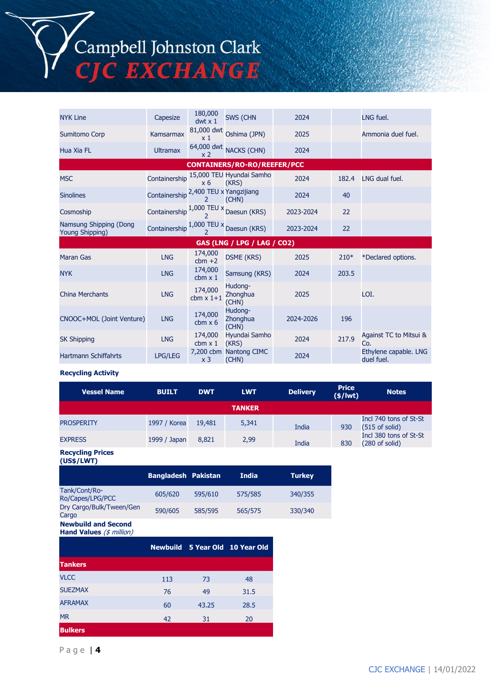# Campbell Johnston Clark C EXCHANGE

NYK Line Capesize 180,000 dwt x 1 SWS (CHN 2024 LNG fuel. Sumitomo Corp Kamsarmax 81,000 dwt Oshima (JPN) x 1 2025 **Ammonia duel fuel.** Hua Xia FL Ultramax 64,000 dwt NACKS (CHN) 2024 x 2 **CONTAINERS/RO-RO/REEFER/PCC** MSC Containership 15,000 TEU Hyundai Samho 2024 182.4 LNG dual fuel. x 6 Sinolines Containership <sup>2</sup>,400 TEU x Yangzijiang (CHN) <sup>2024</sup> <sup>40</sup>  $\frac{1,000}{2}$  Containership  $\frac{1,000}{2}$  Daesun (KRS) 2023-2024 22  $\overline{2}$ Namsung Shipping (Dong<br>Young Shipping) Namsung Shipping (Dong containership 1,000 TEU x Daesun (KRS) 2023-2024 22<br>Young Shipping) **GAS (LNG / LPG / LAG / CO2)** Maran Gas LNG 174,000 cbm +2  $174,000$  DSME (KRS) 2025 210\* \*Declared options.<br>174,000 Cancelare (KBC) 2024 2025 NYK LNG 174,000  $cbm \times 1$ Samsung (KRS) 2024 203.5 China Merchants LNG 174,000 cbm x 1+1 Hudong-**Zhonghua** (CHN) 2025 LOI. CNOOC+MOL (Joint Venture) LNG 174,000 cbm x 6 Hudong-**Zhonghua** (CHN) 2024-2026 196 SK Shipping LNG 174,000  $cbm \times 1$ Hyundai Samho Hyundai Samho<br>
(KRS) 2024 217.9 Against TC to Mitsui & Co. Hartmann Schiffahrts LPG/LEG x 3 7,200 cbm Nantong CIMC Nantong CIMC 2024 Ethylene capable. LNG<br>
(CHN) duel fuel. duel fuel.

#### **Recycling Activity**

| <b>Vessel Name</b> | <b>BUILT</b> | <b>DWT</b> | <b>LWT</b>    | <b>Delivery</b> | <b>Price</b><br>$(\frac{2}{3}) lwt)$ | <b>Notes</b>                                       |
|--------------------|--------------|------------|---------------|-----------------|--------------------------------------|----------------------------------------------------|
|                    |              |            | <b>TANKER</b> |                 |                                      |                                                    |
| <b>PROSPERITY</b>  | 1997 / Korea | 19,481     | 5,341         | India           | 930                                  | Incl 740 tons of St-St<br>$(515$ of solid)         |
| <b>EXPRESS</b>     | 1999 / Japan | 8,821      | 2,99          | India           | 830                                  | Incl 380 tons of St-St<br>$(280 \text{ of solid})$ |

#### **Recycling Prices (US\$/LWT)**

|                                                                   | <b>Bangladesh Pakistan</b> |         | <b>India</b>                    | <b>Turkey</b> |
|-------------------------------------------------------------------|----------------------------|---------|---------------------------------|---------------|
| Tank/Cont/Ro-<br>Ro/Capes/LPG/PCC                                 | 605/620                    | 595/610 | 575/585                         | 340/355       |
| Dry Cargo/Bulk/Tween/Gen<br>Cargo                                 | 590/605                    | 585/595 | 565/575                         | 330/340       |
| <b>Newbuild and Second</b><br>Hand Values $(\frac{4}{3}$ million) |                            |         |                                 |               |
|                                                                   |                            |         | Newbuild 5 Year Old 10 Year Old |               |
| <b>Tankers</b>                                                    |                            |         |                                 |               |
| <b>VLCC</b>                                                       | 113                        | 73      | 48                              |               |
| <b>SUEZMAX</b>                                                    | 76                         | 49      | 31.5                            |               |
| <b>AFRAMAX</b>                                                    | 60                         | 43.25   | 28.5                            |               |
| <b>MR</b>                                                         | 42                         | 31      | 20                              |               |
| <b>Bulkers</b>                                                    |                            |         |                                 |               |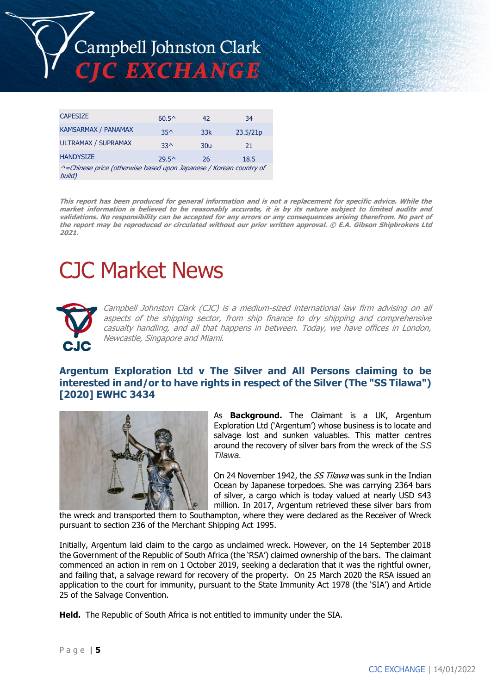

| <b>CAPESIZE</b>                                                              | $60.5^{\circ}$ | 42              | 34       |  |  |  |
|------------------------------------------------------------------------------|----------------|-----------------|----------|--|--|--|
| <b>KAMSARMAX / PANAMAX</b>                                                   | $35^$          | 33k             | 23.5/21p |  |  |  |
| <b>ULTRAMAX / SUPRAMAX</b>                                                   | $33^$          | 30 <sub>u</sub> | 21       |  |  |  |
| <b>HANDYSIZE</b>                                                             | $29.5^{\circ}$ | 26              | 18.5     |  |  |  |
| ^=Chinese price (otherwise based upon Japanese / Korean country of<br>build) |                |                 |          |  |  |  |

This report has been produced for general information and is not a replacement for specific advice. While the market information is believed to be reasonably accurate, it is by its nature subject to limited audits and validations. No responsibility can be accepted for any errors or any consequences arising therefrom. No part of the report may be reproduced or circulated without our prior written approval. © E.A. Gibson Shipbrokers Ltd **2021.**

# CJC Market News



Campbell Johnston Clark (CJC) is a medium-sized international law firm advising on all aspects of the shipping sector, from ship finance to dry shipping and comprehensive casualty handling, and all that happens in between. Today, we have offices in London, Newcastle, Singapore and Miami.

# **Argentum Exploration Ltd v The Silver and All Persons claiming to be interested in and/or to have rights in respect of the Silver (The "SS Tilawa") [2020] EWHC 3434**



As **Background.** The Claimant is a UK, Argentum Exploration Ltd ('Argentum') whose business is to locate and salvage lost and sunken valuables. This matter centres around the recovery of silver bars from the wreck of the *SS Tilawa.*

On 24 November 1942, the *SS Tilawa* was sunk in the Indian Ocean by Japanese torpedoes. She was carrying 2364 bars of silver, a cargo which is today valued at nearly USD \$43 million. In 2017, Argentum retrieved these silver bars from

the wreck and transported them to Southampton, where they were declared as the Receiver of Wreck pursuant to section 236 of the Merchant Shipping Act 1995.

Initially, Argentum laid claim to the cargo as unclaimed wreck. However, on the 14 September 2018 the Government of the Republic of South Africa (the 'RSA') claimed ownership of the bars. The claimant commenced an action in rem on 1 October 2019, seeking a declaration that it was the rightful owner, and failing that, a salvage reward for recovery of the property. On 25 March 2020 the RSA issued an application to the court for immunity, pursuant to the State Immunity Act 1978 (the 'SIA') and Article 25 of the Salvage Convention.

**Held.** The Republic of South Africa is not entitled to immunity under the SIA.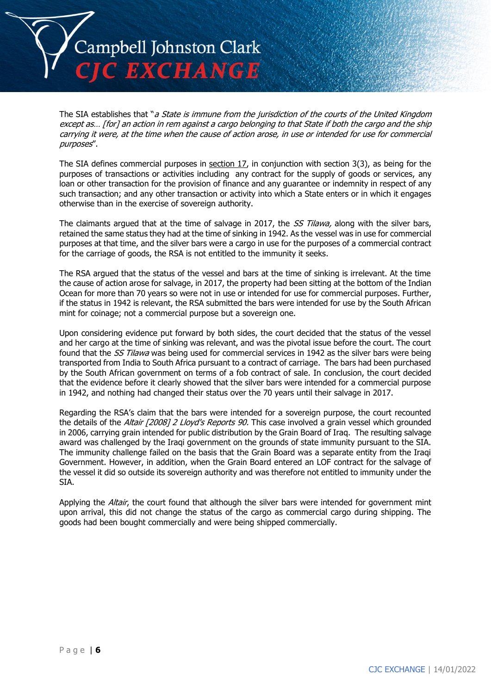

The SIA establishes that "a State is immune from the jurisdiction of the courts of the United Kingdom except as… [for] an action in rem against a cargo belonging to that State if both the cargo and the ship carrying it were, at the time when the cause of action arose, in use or intended for use for commercial purposes".

The SIA defines commercial purposes in [section 17,](https://uk.westlaw.com/Document/IBA443A30E44911DA8D70A0E70A78ED65/View/FullText.html?originationContext=document&transitionType=DocumentItem&ppcid=36a5eca4777141edbefb4401bd894e42&contextData=(sc.Search)) in conjunction with section 3(3), as being for the purposes of transactions or activities including any contract for the supply of goods or services, any loan or other transaction for the provision of finance and any guarantee or indemnity in respect of any such transaction; and any other transaction or activity into which a State enters or in which it engages otherwise than in the exercise of sovereign authority.

The claimants argued that at the time of salvage in 2017, the SS Tilawa, along with the silver bars, retained the same status they had at the time of sinking in 1942. As the vessel was in use for commercial purposes at that time, and the silver bars were a cargo in use for the purposes of a commercial contract for the carriage of goods, the RSA is not entitled to the immunity it seeks.

The RSA argued that the status of the vessel and bars at the time of sinking is irrelevant. At the time the cause of action arose for salvage, in 2017, the property had been sitting at the bottom of the Indian Ocean for more than 70 years so were not in use or intended for use for commercial purposes. Further, if the status in 1942 is relevant, the RSA submitted the bars were intended for use by the South African mint for coinage; not a commercial purpose but a sovereign one.

Upon considering evidence put forward by both sides, the court decided that the status of the vessel and her cargo at the time of sinking was relevant, and was the pivotal issue before the court. The court found that the SS Tilawa was being used for commercial services in 1942 as the silver bars were being transported from India to South Africa pursuant to a contract of carriage. The bars had been purchased by the South African government on terms of a fob contract of sale. In conclusion, the court decided that the evidence before it clearly showed that the silver bars were intended for a commercial purpose in 1942, and nothing had changed their status over the 70 years until their salvage in 2017.

Regarding the RSA's claim that the bars were intended for a sovereign purpose, the court recounted the details of the Altair [2008] 2 Lloyd's Reports 90. This case involved a grain vessel which grounded in 2006, carrying grain intended for public distribution by the Grain Board of Iraq. The resulting salvage award was challenged by the Iraqi government on the grounds of state immunity pursuant to the SIA. The immunity challenge failed on the basis that the Grain Board was a separate entity from the Iraqi Government. However, in addition, when the Grain Board entered an LOF contract for the salvage of the vessel it did so outside its sovereign authority and was therefore not entitled to immunity under the SIA.

Applying the Altair, the court found that although the silver bars were intended for government mint upon arrival, this did not change the status of the cargo as commercial cargo during shipping. The goods had been bought commercially and were being shipped commercially.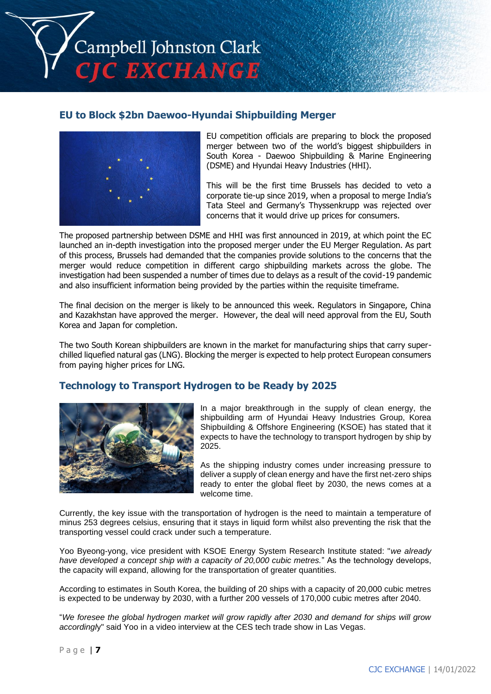

# **EU to Block \$2bn Daewoo-Hyundai Shipbuilding Merger**



EU competition officials are preparing to block the proposed merger between two of the world's biggest shipbuilders in South Korea - Daewoo Shipbuilding & Marine Engineering (DSME) and Hyundai Heavy Industries (HHI).

This will be the first time Brussels has decided to veto a corporate tie-up since 2019, when a proposal to merge India's Tata Steel and Germany's Thyssenkrupp was rejected over concerns that it would drive up prices for consumers.

The proposed partnership between DSME and HHI was first announced in 2019, at which point the EC launched an in-depth investigation into the proposed merger under the EU Merger Regulation. As part of this process, Brussels had demanded that the companies provide solutions to the concerns that the merger would reduce competition in different cargo shipbuilding markets across the globe. The investigation had been suspended a number of times due to delays as a result of the covid-19 pandemic and also insufficient information being provided by the parties within the requisite timeframe.

The final decision on the merger is likely to be announced this week. Regulators in Singapore, China and Kazakhstan have approved the merger. However, the deal will need approval from the EU, South Korea and Japan for completion.

The two South Korean shipbuilders are known in the market for manufacturing ships that carry superchilled liquefied natural gas (LNG). Blocking the merger is expected to help protect European consumers from paying higher prices for LNG.

# **Technology to Transport Hydrogen to be Ready by 2025**



In a major breakthrough in the supply of clean energy, the shipbuilding arm of Hyundai Heavy Industries Group, Korea Shipbuilding & Offshore Engineering (KSOE) has stated that it expects to have the technology to transport hydrogen by ship by 2025.

As the shipping industry comes under increasing pressure to deliver a supply of clean energy and have the first net-zero ships ready to enter the global fleet by 2030, the news comes at a welcome time.

Currently, the key issue with the transportation of hydrogen is the need to maintain a temperature of minus 253 degrees celsius, ensuring that it stays in liquid form whilst also preventing the risk that the transporting vessel could crack under such a temperature.

Yoo Byeong-yong, vice president with KSOE Energy System Research Institute stated: "*we already have developed a concept ship with a capacity of 20,000 cubic metres.*" As the technology develops, the capacity will expand, allowing for the transportation of greater quantities.

According to estimates in South Korea, the building of 20 ships with a capacity of 20,000 cubic metres is expected to be underway by 2030, with a further 200 vessels of 170,000 cubic metres after 2040.

"*We foresee the global hydrogen market will grow rapidly after 2030 and demand for ships will grow accordingl*y" said Yoo in a video interview at the CES tech trade show in Las Vegas.